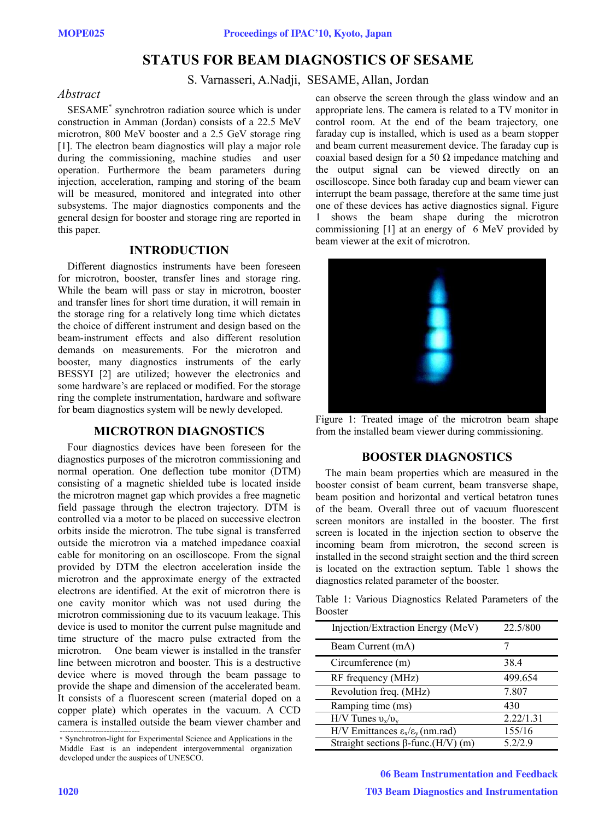# **STATUS FOR BEAM DIAGNOSTICS OF SESAME**

### S. Varnasseri, A.Nadji, SESAME, Allan, Jordan

# *Abstract*

SESAME<sup>\*</sup> synchrotron radiation source which is under construction in Amman (Jordan) consists of a 22.5 MeV microtron, 800 MeV booster and a 2.5 GeV storage ring [1]. The electron beam diagnostics will play a major role during the commissioning, machine studies and user operation. Furthermore the beam parameters during injection, acceleration, ramping and storing of the beam will be measured, monitored and integrated into other subsystems. The major diagnostics components and the general design for booster and storage ring are reported in this paper.

### **INTRODUCTION**

Different diagnostics instruments have been foreseen for microtron, booster, transfer lines and storage ring. While the beam will pass or stay in microtron, booster and transfer lines for short time duration, it will remain in the storage ring for a relatively long time which dictates the choice of different instrument and design based on the beam-instrument effects and also different resolution demands on measurements. For the microtron and booster, many diagnostics instruments of the early BESSYI [2] are utilized; however the electronics and some hardware's are replaced or modified. For the storage ring the complete instrumentation, hardware and software for beam diagnostics system will be newly developed.

#### **MICROTRON DIAGNOSTICS**

Four diagnostics devices have been foreseen for the diagnostics purposes of the microtron commissioning and normal operation. One deflection tube monitor (DTM) consisting of a magnetic shielded tube is located inside the microtron magnet gap which provides a free magnetic field passage through the electron trajectory. DTM is controlled via a motor to be placed on successive electron orbits inside the microtron. The tube signal is transferred outside the microtron via a matched impedance coaxial cable for monitoring on an oscilloscope. From the signal provided by DTM the electron acceleration inside the microtron and the approximate energy of the extracted electrons are identified. At the exit of microtron there is one cavity monitor which was not used during the microtron commissioning due to its vacuum leakage. This device is used to monitor the current pulse magnitude and time structure of the macro pulse extracted from the microtron. One beam viewer is installed in the transfer line between microtron and booster. This is a destructive device where is moved through the beam passage to provide the shape and dimension of the accelerated beam. It consists of a fluorescent screen (material doped on a copper plate) which operates in the vacuum. A CCD camera is installed outside the beam viewer chamber and -----------------------------

\* Synchrotron-light for Experimental Science and Applications in the Middle East is an independent intergovernmental organization developed under the auspices of UNESCO.

can observe the screen through the glass window and an appropriate lens. The camera is related to a TV monitor in control room. At the end of the beam trajectory, one faraday cup is installed, which is used as a beam stopper and beam current measurement device. The faraday cup is coaxial based design for a 50  $\Omega$  impedance matching and the output signal can be viewed directly on an oscilloscope. Since both faraday cup and beam viewer can interrupt the beam passage, therefore at the same time just one of these devices has active diagnostics signal. Figure 1 shows the beam shape during the microtron commissioning [1] at an energy of 6 MeV provided by beam viewer at the exit of microtron.



Figure 1: Treated image of the microtron beam shape from the installed beam viewer during commissioning.

## **BOOSTER DIAGNOSTICS**

The main beam properties which are measured in the booster consist of beam current, beam transverse shape, beam position and horizontal and vertical betatron tunes of the beam. Overall three out of vacuum fluorescent screen monitors are installed in the booster. The first screen is located in the injection section to observe the incoming beam from microtron, the second screen is installed in the second straight section and the third screen is located on the extraction septum. Table 1 shows the diagnostics related parameter of the booster.

Table 1: Various Diagnostics Related Parameters of the Booster

| Injection/Extraction Energy (MeV)                         | 22.5/800  |
|-----------------------------------------------------------|-----------|
| Beam Current (mA)                                         |           |
| Circumference (m)                                         | 38.4      |
| RF frequency (MHz)                                        | 499.654   |
| Revolution freq. (MHz)                                    | 7.807     |
| Ramping time (ms)                                         | 430       |
| $H/V$ Tunes $v_x/v_y$                                     | 2.22/1.31 |
| H/V Emittances $\varepsilon_{x}/\varepsilon_{y}$ (nm.rad) | 155/16    |
| Straight sections $\beta$ -func.(H/V) (m)                 | 5.2/2.9   |

06 Beam Instrumentation and Feedback T03 Beam Diagnostics and Instrumentation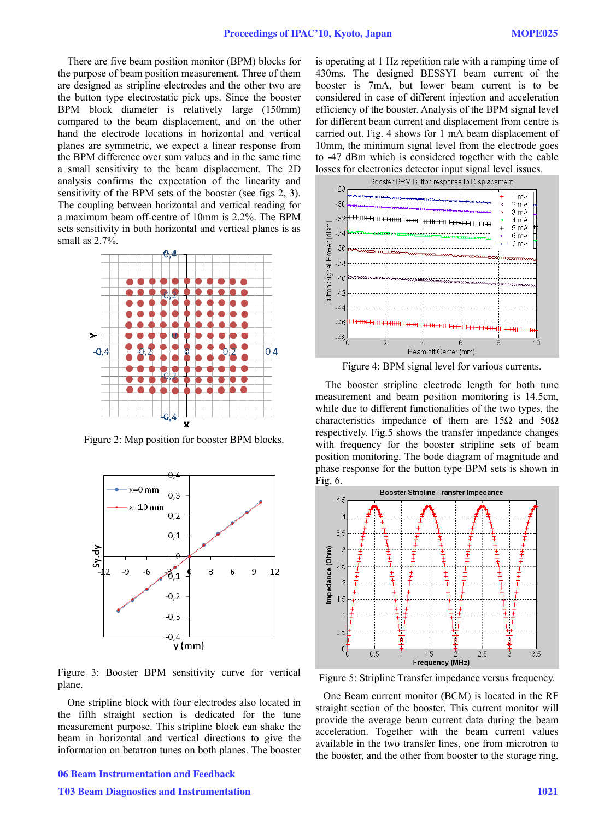There are five beam position monitor (BPM) blocks for the purpose of beam position measurement. Three of them are designed as stripline electrodes and the other two are the button type electrostatic pick ups. Since the booster BPM block diameter is relatively large (150mm) compared to the beam displacement, and on the other hand the electrode locations in horizontal and vertical planes are symmetric, we expect a linear response from the BPM difference over sum values and in the same time a small sensitivity to the beam displacement. The 2D analysis confirms the expectation of the linearity and sensitivity of the BPM sets of the booster (see figs 2, 3). The coupling between horizontal and vertical reading for a maximum beam off-centre of 10mm is 2.2%. The BPM sets sensitivity in both horizontal and vertical planes is as small as 2.7%.



Figure 2: Map position for booster BPM blocks.



Figure 3: Booster BPM sensitivity curve for vertical plane.

One stripline block with four electrodes also located in the fifth straight section is dedicated for the tune measurement purpose. This stripline block can shake the beam in horizontal and vertical directions to give the information on betatron tunes on both planes. The booster

T03 Beam Diagnostics and Instrumentation 1021

is operating at 1 Hz repetition rate with a ramping time of 430ms. The designed BESSYI beam current of the booster is 7mA, but lower beam current is to be considered in case of different injection and acceleration efficiency of the booster. Analysis of the BPM signal level for different beam current and displacement from centre is carried out. Fig. 4 shows for 1 mA beam displacement of 10mm, the minimum signal level from the electrode goes to -47 dBm which is considered together with the cable losses for electronics detector input signal level issues.



Figure 4: BPM signal level for various currents.

The booster stripline electrode length for both tune measurement and beam position monitoring is 14.5cm, while due to different functionalities of the two types, the characteristics impedance of them are  $15\Omega$  and  $50\Omega$ respectively. Fig.5 shows the transfer impedance changes with frequency for the booster stripline sets of beam position monitoring. The bode diagram of magnitude and phase response for the button type BPM sets is shown in Fig. 6.



Figure 5: Stripline Transfer impedance versus frequency.

 One Beam current monitor (BCM) is located in the RF straight section of the booster. This current monitor will provide the average beam current data during the beam acceleration. Together with the beam current values available in the two transfer lines, one from microtron to the booster, and the other from booster to the storage ring,